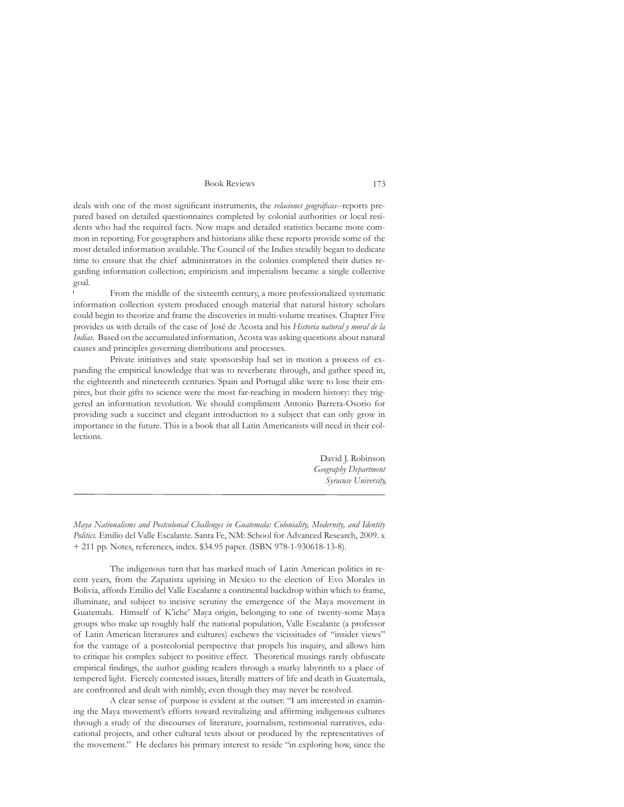Book Reviews 173

deals with one of the most signifcant instruments, the *relaciones geográfcas*--reports prepared based on detailed questionnaires completed by colonial authorities or local residents who had the required facts. Now maps and detailed statistics became more common in reporting. For geographers and historians alike these reports provide some of the most detailed information available. The Council of the Indies steadily began to dedicate time to ensure that the chief administrators in the colonies completed their duties regarding information collection; empiricism and imperialism became a single collective goal.

From the middle of the sixteenth century, a more professionalized systematic information collection system produced enough material that natural history scholars could begin to theorize and frame the discoveries in multi-volume treatises. Chapter Five provides us with details of the case of José de Acosta and his *Historia natural y moral de la Indias.* Based on the accumulated information, Acosta was asking questions about natural causes and principles governing distributions and processes.

Private initiatives and state sponsorship had set in motion a process of expanding the empirical knowledge that was to reverberate through, and gather speed in, the eighteenth and nineteenth centuries. Spain and Portugal alike were to lose their empires, but their gifts to science were the most far-reaching in modern history: they triggered an information revolution. We should compliment Antonio Barrera-Osorio for providing such a succinct and elegant introduction to a subject that can only grow in importance in the future. This is a book that all Latin Americanists will need in their collections.

> David J. Robinson *Geography Department Syracuse University*

*Maya Nationalisms and Postcolonial Challenges in Guatemala: Coloniality, Modernity, and Identity Politics.* Emilio del Valle Escalante. Santa Fe, NM: School for Advanced Research, 2009. x + 211 pp. Notes, references, index. \$34.95 paper. (ISBN 978-1-930618-13-8).

The indigenous turn that has marked much of Latin American politics in recent years, from the Zapatista uprising in Mexico to the election of Evo Morales in Bolivia, affords Emilio del Valle Escalante a continental backdrop within which to frame, illuminate, and subject to incisive scrutiny the emergence of the Maya movement in Guatemala. Himself of K'iche' Maya origin, belonging to one of twenty-some Maya groups who make up roughly half the national population, Valle Escalante (a professor of Latin American literatures and cultures) eschews the vicissitudes of "insider views" for the vantage of a postcolonial perspective that propels his inquiry, and allows him to critique his complex subject to positive effect. Theoretical musings rarely obfuscate empirical fndings, the author guiding readers through a murky labyrinth to a place of tempered light. Fiercely contested issues, literally matters of life and death in Guatemala, are confronted and dealt with nimbly, even though they may never be resolved.

A clear sense of purpose is evident at the outset: "I am interested in examining the Maya movement's efforts toward revitalizing and affrming indigenous cultures through a study of the discourses of literature, journalism, testimonial narratives, educational projects, and other cultural texts about or produced by the representatives of the movement." He declares his primary interest to reside "in exploring how, since the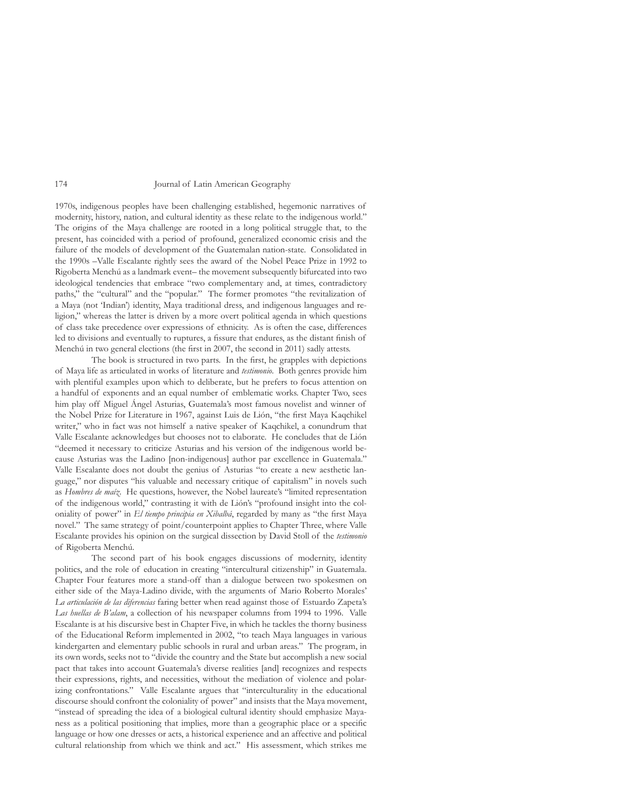## 174 Journal of Latin American Geography

1970s, indigenous peoples have been challenging established, hegemonic narratives of modernity, history, nation, and cultural identity as these relate to the indigenous world." The origins of the Maya challenge are rooted in a long political struggle that, to the present, has coincided with a period of profound, generalized economic crisis and the failure of the models of development of the Guatemalan nation-state. Consolidated in the 1990s –Valle Escalante rightly sees the award of the Nobel Peace Prize in 1992 to Rigoberta Menchú as a landmark event– the movement subsequently bifurcated into two ideological tendencies that embrace "two complementary and, at times, contradictory paths," the "cultural" and the "popular." The former promotes "the revitalization of a Maya (not 'Indian') identity, Maya traditional dress, and indigenous languages and religion," whereas the latter is driven by a more overt political agenda in which questions of class take precedence over expressions of ethnicity. As is often the case, differences led to divisions and eventually to ruptures, a fssure that endures, as the distant fnish of Menchú in two general elections (the frst in 2007, the second in 2011) sadly attests.

The book is structured in two parts. In the frst, he grapples with depictions of Maya life as articulated in works of literature and *testimonio*. Both genres provide him with plentiful examples upon which to deliberate, but he prefers to focus attention on a handful of exponents and an equal number of emblematic works. Chapter Two, sees him play off Miguel Ángel Asturias, Guatemala's most famous novelist and winner of the Nobel Prize for Literature in 1967, against Luis de Lión, "the frst Maya Kaqchikel writer," who in fact was not himself a native speaker of Kaqchikel, a conundrum that Valle Escalante acknowledges but chooses not to elaborate. He concludes that de Lión "deemed it necessary to criticize Asturias and his version of the indigenous world because Asturias was the Ladino [non-indigenous] author par excellence in Guatemala." Valle Escalante does not doubt the genius of Asturias "to create a new aesthetic language," nor disputes "his valuable and necessary critique of capitalism" in novels such as *Hombres de maíz*. He questions, however, the Nobel laureate's "limited representation of the indigenous world," contrasting it with de Lión's "profound insight into the coloniality of power" in *El tiempo principia en Xibalbá*, regarded by many as "the frst Maya novel." The same strategy of point/counterpoint applies to Chapter Three, where Valle Escalante provides his opinion on the surgical dissection by David Stoll of the *testimonio* of Rigoberta Menchú.

The second part of his book engages discussions of modernity, identity politics, and the role of education in creating "intercultural citizenship" in Guatemala. Chapter Four features more a stand-off than a dialogue between two spokesmen on either side of the Maya-Ladino divide, with the arguments of Mario Roberto Morales' *La articulación de las diferencias* faring better when read against those of Estuardo Zapeta's *Las huellas de B'alam*, a collection of his newspaper columns from 1994 to 1996. Valle Escalante is at his discursive best in Chapter Five, in which he tackles the thorny business of the Educational Reform implemented in 2002, "to teach Maya languages in various kindergarten and elementary public schools in rural and urban areas." The program, in its own words, seeks not to "divide the country and the State but accomplish a new social pact that takes into account Guatemala's diverse realities [and] recognizes and respects their expressions, rights, and necessities, without the mediation of violence and polarizing confrontations." Valle Escalante argues that "interculturality in the educational discourse should confront the coloniality of power" and insists that the Maya movement, "instead of spreading the idea of a biological cultural identity should emphasize Mayaness as a political positioning that implies, more than a geographic place or a specifc language or how one dresses or acts, a historical experience and an affective and political cultural relationship from which we think and act." His assessment, which strikes me